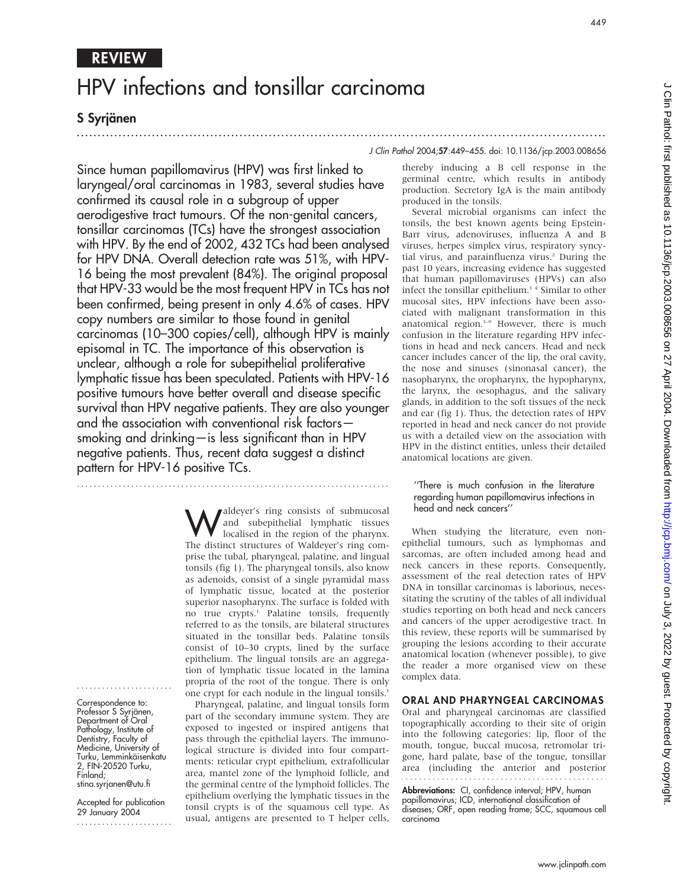# REVIEW

# HPV infections and tonsillar carcinoma

# S Syrjänen

.............................................................................................................................. .

Since human papillomavirus (HPV) was first linked to laryngeal/oral carcinomas in 1983, several studies have confirmed its causal role in a subgroup of upper aerodigestive tract tumours. Of the non-genital cancers, tonsillar carcinomas (TCs) have the strongest association with HPV. By the end of 2002, 432 TCs had been analysed for HPV DNA. Overall detection rate was 51%, with HPV-16 being the most prevalent (84%). The original proposal that HPV-33 would be the most frequent HPV in TCs has not been confirmed, being present in only 4.6% of cases. HPV copy numbers are similar to those found in genital carcinomas (10–300 copies/cell), although HPV is mainly episomal in TC. The importance of this observation is unclear, although a role for subepithelial proliferative lymphatic tissue has been speculated. Patients with HPV-16 positive tumours have better overall and disease specific survival than HPV negative patients. They are also younger and the association with conventional risk factors smoking and drinking—is less significant than in HPV negative patients. Thus, recent data suggest a distinct pattern for HPV-16 positive TCs.

...........................................................................

**Waldeyer's ring consists of submucosal**<br>localised in the region of the pharynx.<br>The distinct structures of Weldews's ring and and subepithelial lymphatic tissues The distinct structures of Waldeyer's ring comprise the tubal, pharyngeal, palatine, and lingual tonsils (fig 1). The pharyngeal tonsils, also know as adenoids, consist of a single pyramidal mass of lymphatic tissue, located at the posterior superior nasopharynx. The surface is folded with no true crypts.<sup>1</sup> Palatine tonsils, frequently referred to as the tonsils, are bilateral structures situated in the tonsillar beds. Palatine tonsils consist of 10–30 crypts, lined by the surface epithelium. The lingual tonsils are an aggregation of lymphatic tissue located in the lamina propria of the root of the tongue. There is only one crypt for each nodule in the lingual tonsils.<sup>1</sup>

Pharyngeal, palatine, and lingual tonsils form part of the secondary immune system. They are exposed to ingested or inspired antigens that pass through the epithelial layers. The immunological structure is divided into four compartments: reticular crypt epithelium, extrafollicular area, mantel zone of the lymphoid follicle, and the germinal centre of the lymphoid follicles. The epithelium overlying the lymphatic tissues in the tonsil crypts is of the squamous cell type. As usual, antigens are presented to T helper cells,

# J Clin Pathol 2004;57:449–455. doi: 10.1136/jcp.2003.008656

thereby inducing a B cell response in the germinal centre, which results in antibody production. Secretory IgA is the main antibody produced in the tonsils.

449

Several microbial organisms can infect the tonsils, the best known agents being Epstein-Barr virus, adenoviruses, influenza A and B viruses, herpes simplex virus, respiratory syncytial virus, and parainfluenza virus.<sup>2</sup> During the past 10 years, increasing evidence has suggested that human papillomaviruses (HPVs) can also infect the tonsillar epithelium.<sup>34</sup> Similar to other mucosal sites, HPV infections have been associated with malignant transformation in this anatomical region.<sup>3-9</sup> However, there is much confusion in the literature regarding HPV infections in head and neck cancers. Head and neck cancer includes cancer of the lip, the oral cavity, the nose and sinuses (sinonasal cancer), the nasopharynx, the oropharynx, the hypopharynx, the larynx, the oesophagus, and the salivary glands, in addition to the soft tissues of the neck and ear (fig 1). Thus, the detection rates of HPV reported in head and neck cancer do not provide us with a detailed view on the association with HPV in the distinct entities, unless their detailed anatomical locations are given.

#### ''There is much confusion in the literature regarding human papillomavirus infections in head and neck cancers''

When studying the literature, even nonepithelial tumours, such as lymphomas and sarcomas, are often included among head and neck cancers in these reports. Consequently, assessment of the real detection rates of HPV DNA in tonsillar carcinomas is laborious, necessitating the scrutiny of the tables of all individual studies reporting on both head and neck cancers and cancers of the upper aerodigestive tract. In this review, these reports will be summarised by grouping the lesions according to their accurate anatomical location (whenever possible), to give the reader a more organised view on these complex data.

#### ORAL AND PHARYNGEAL CARCINOMAS

Oral and pharyngeal carcinomas are classified topographically according to their site of origin into the following categories: lip, floor of the mouth, tongue, buccal mucosa, retromolar trigone, hard palate, base of the tongue, tonsillar area (including the anterior and posterior . . . . . . . . . . . . . . . . . .

Abbreviations: CI, confidence interval; HPV, human papillomavirus; ICD, international classification of diseases; ORF, open reading frame; SCC, squamous cell carcinoma

Correspondence to: Professor S Syrjänen, Department of Oral Pathology, Institute of Dentistry, Faculty of Medicine, University of Turku, Lemminkäisenkatu 2, FIN-20520 Turku, Finland; stina.syrjanen@utu.fi

.......................

Accepted for publication 29 January 2004 .......................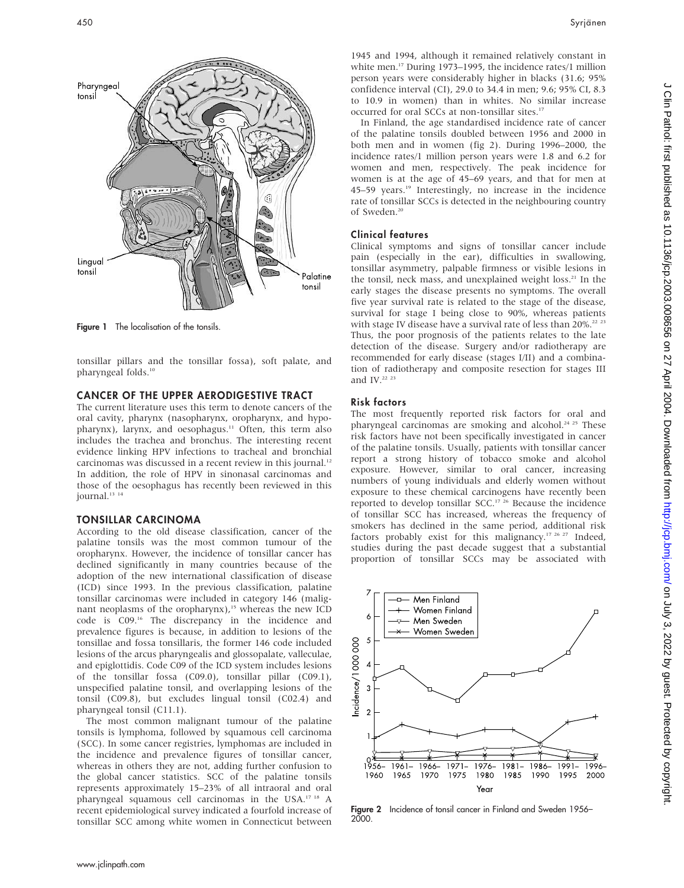

Figure 1 The localisation of the tonsils.

tonsillar pillars and the tonsillar fossa), soft palate, and pharyngeal folds.<sup>10</sup>

#### CANCER OF THE UPPER AERODIGESTIVE TRACT

The current literature uses this term to denote cancers of the oral cavity, pharynx (nasopharynx, oropharynx, and hypopharynx), larynx, and oesophagus.<sup>11</sup> Often, this term also includes the trachea and bronchus. The interesting recent evidence linking HPV infections to tracheal and bronchial carcinomas was discussed in a recent review in this journal.<sup>12</sup> In addition, the role of HPV in sinonasal carcinomas and those of the oesophagus has recently been reviewed in this journal.<sup>13 14</sup>

#### TONSILLAR CARCINOMA

According to the old disease classification, cancer of the palatine tonsils was the most common tumour of the oropharynx. However, the incidence of tonsillar cancer has declined significantly in many countries because of the adoption of the new international classification of disease (ICD) since 1993. In the previous classification, palatine tonsillar carcinomas were included in category 146 (malignant neoplasms of the oropharynx), $15$  whereas the new ICD code is C09.16 The discrepancy in the incidence and prevalence figures is because, in addition to lesions of the tonsillae and fossa tonsillaris, the former 146 code included lesions of the arcus pharyngealis and glossopalate, valleculae, and epiglottidis. Code C09 of the ICD system includes lesions of the tonsillar fossa (C09.0), tonsillar pillar (C09.1), unspecified palatine tonsil, and overlapping lesions of the tonsil (C09.8), but excludes lingual tonsil (C02.4) and pharyngeal tonsil (C11.1).

The most common malignant tumour of the palatine tonsils is lymphoma, followed by squamous cell carcinoma (SCC). In some cancer registries, lymphomas are included in the incidence and prevalence figures of tonsillar cancer, whereas in others they are not, adding further confusion to the global cancer statistics. SCC of the palatine tonsils represents approximately 15–23% of all intraoral and oral pharyngeal squamous cell carcinomas in the USA.17 18 A recent epidemiological survey indicated a fourfold increase of tonsillar SCC among white women in Connecticut between J Clin Pathol: first published as 10.1136/jcp.2003.008656 on 27 April 2004. Downloaded from http://jcp.bmj.com/ on July 3, 2022 by guest. Protected by copyright J Clin Pathol: first published as 10.1136/jcp.2003.008656 on 27 April 2004. Downloaded from <http://jcp.bmj.com/> on July 3, 2022 by guest. Protected by copyright.

1945 and 1994, although it remained relatively constant in white men.<sup>17</sup> During 1973–1995, the incidence rates/1 million person years were considerably higher in blacks (31.6; 95% confidence interval (CI), 29.0 to 34.4 in men; 9.6; 95% CI, 8.3 to 10.9 in women) than in whites. No similar increase occurred for oral SCCs at non-tonsillar sites.17

In Finland, the age standardised incidence rate of cancer of the palatine tonsils doubled between 1956 and 2000 in both men and in women (fig 2). During 1996–2000, the incidence rates/1 million person years were 1.8 and 6.2 for women and men, respectively. The peak incidence for women is at the age of 45–69 years, and that for men at 45–59 years.<sup>19</sup> Interestingly, no increase in the incidence rate of tonsillar SCCs is detected in the neighbouring country of Sweden.20

## Clinical features

Clinical symptoms and signs of tonsillar cancer include pain (especially in the ear), difficulties in swallowing, tonsillar asymmetry, palpable firmness or visible lesions in the tonsil, neck mass, and unexplained weight loss.<sup>21</sup> In the early stages the disease presents no symptoms. The overall five year survival rate is related to the stage of the disease, survival for stage I being close to 90%, whereas patients with stage IV disease have a survival rate of less than 20%.<sup>22</sup> <sup>23</sup> Thus, the poor prognosis of the patients relates to the late detection of the disease. Surgery and/or radiotherapy are recommended for early disease (stages I/II) and a combination of radiotherapy and composite resection for stages III and IV.<sup>22 23</sup>

#### Risk factors

The most frequently reported risk factors for oral and pharyngeal carcinomas are smoking and alcohol.<sup>24-25</sup> These risk factors have not been specifically investigated in cancer of the palatine tonsils. Usually, patients with tonsillar cancer report a strong history of tobacco smoke and alcohol exposure. However, similar to oral cancer, increasing numbers of young individuals and elderly women without exposure to these chemical carcinogens have recently been reported to develop tonsillar SCC.17 26 Because the incidence of tonsillar SCC has increased, whereas the frequency of smokers has declined in the same period, additional risk factors probably exist for this malignancy.<sup>17 26 27</sup> Indeed, studies during the past decade suggest that a substantial proportion of tonsillar SCCs may be associated with



Figure 2 Incidence of tonsil cancer in Finland and Sweden 1956– 2000.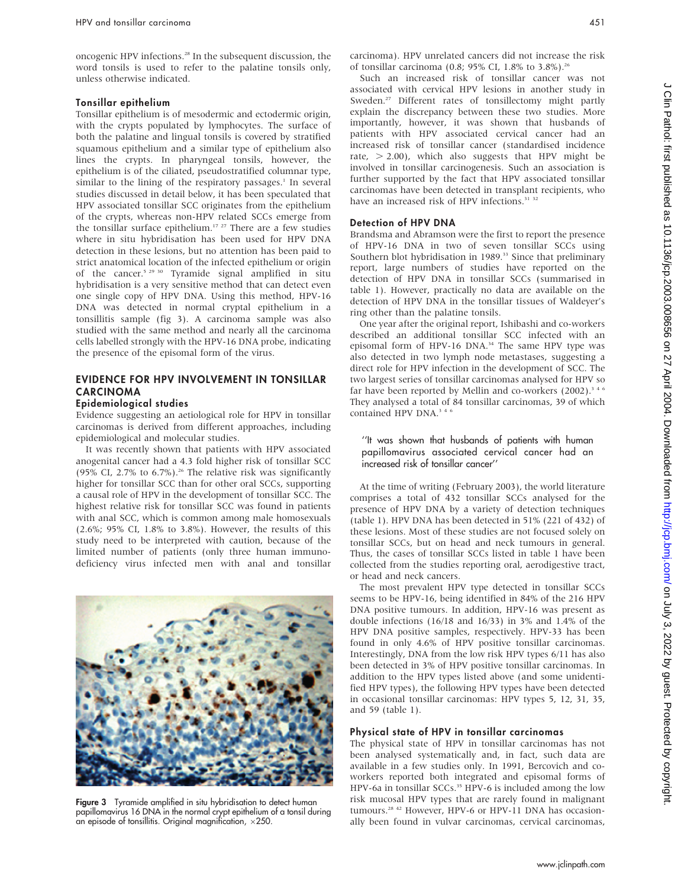oncogenic HPV infections.28 In the subsequent discussion, the word tonsils is used to refer to the palatine tonsils only, unless otherwise indicated.

#### Tonsillar epithelium

Tonsillar epithelium is of mesodermic and ectodermic origin, with the crypts populated by lymphocytes. The surface of both the palatine and lingual tonsils is covered by stratified squamous epithelium and a similar type of epithelium also lines the crypts. In pharyngeal tonsils, however, the epithelium is of the ciliated, pseudostratified columnar type, similar to the lining of the respiratory passages.<sup>1</sup> In several studies discussed in detail below, it has been speculated that HPV associated tonsillar SCC originates from the epithelium of the crypts, whereas non-HPV related SCCs emerge from the tonsillar surface epithelium.17 27 There are a few studies where in situ hybridisation has been used for HPV DNA detection in these lesions, but no attention has been paid to strict anatomical location of the infected epithelium or origin of the cancer.5 29 30 Tyramide signal amplified in situ hybridisation is a very sensitive method that can detect even one single copy of HPV DNA. Using this method, HPV-16 DNA was detected in normal cryptal epithelium in a tonsillitis sample (fig 3). A carcinoma sample was also studied with the same method and nearly all the carcinoma cells labelled strongly with the HPV-16 DNA probe, indicating the presence of the episomal form of the virus.

# EVIDENCE FOR HPV INVOLVEMENT IN TONSILLAR CARCINOMA

#### Epidemiological studies

Evidence suggesting an aetiological role for HPV in tonsillar carcinomas is derived from different approaches, including epidemiological and molecular studies.

It was recently shown that patients with HPV associated anogenital cancer had a 4.3 fold higher risk of tonsillar SCC (95% CI, 2.7% to 6.7%).<sup>26</sup> The relative risk was significantly higher for tonsillar SCC than for other oral SCCs, supporting a causal role of HPV in the development of tonsillar SCC. The highest relative risk for tonsillar SCC was found in patients with anal SCC, which is common among male homosexuals (2.6%; 95% CI, 1.8% to 3.8%). However, the results of this study need to be interpreted with caution, because of the limited number of patients (only three human immunodeficiency virus infected men with anal and tonsillar



Figure 3 Tyramide amplified in situ hybridisation to detect human papillomavirus 16 DNA in the normal crypt epithelium of a tonsil during an episode of tonsillitis. Original magnification,  $\times 250.$ 

carcinoma). HPV unrelated cancers did not increase the risk of tonsillar carcinoma (0.8; 95% CI, 1.8% to 3.8%).26

Such an increased risk of tonsillar cancer was not associated with cervical HPV lesions in another study in Sweden.<sup>27</sup> Different rates of tonsillectomy might partly explain the discrepancy between these two studies. More importantly, however, it was shown that husbands of patients with HPV associated cervical cancer had an increased risk of tonsillar cancer (standardised incidence rate,  $> 2.00$ ), which also suggests that HPV might be involved in tonsillar carcinogenesis. Such an association is further supported by the fact that HPV associated tonsillar carcinomas have been detected in transplant recipients, who have an increased risk of HPV infections.<sup>31</sup> <sup>32</sup>

#### Detection of HPV DNA

Brandsma and Abramson were the first to report the presence of HPV-16 DNA in two of seven tonsillar SCCs using Southern blot hybridisation in 1989.<sup>33</sup> Since that preliminary report, large numbers of studies have reported on the detection of HPV DNA in tonsillar SCCs (summarised in table 1). However, practically no data are available on the detection of HPV DNA in the tonsillar tissues of Waldeyer's ring other than the palatine tonsils.

One year after the original report, Ishibashi and co-workers described an additional tonsillar SCC infected with an episomal form of HPV-16 DNA.34 The same HPV type was also detected in two lymph node metastases, suggesting a direct role for HPV infection in the development of SCC. The two largest series of tonsillar carcinomas analysed for HPV so far have been reported by Mellin and co-workers  $(2002)^{3/4.6}$ They analysed a total of 84 tonsillar carcinomas, 39 of which contained HPV DNA.<sup>346</sup>

#### ''It was shown that husbands of patients with human papillomavirus associated cervical cancer had an increased risk of tonsillar cancer''

At the time of writing (February 2003), the world literature comprises a total of 432 tonsillar SCCs analysed for the presence of HPV DNA by a variety of detection techniques (table 1). HPV DNA has been detected in 51% (221 of 432) of these lesions. Most of these studies are not focused solely on tonsillar SCCs, but on head and neck tumours in general. Thus, the cases of tonsillar SCCs listed in table 1 have been collected from the studies reporting oral, aerodigestive tract, or head and neck cancers.

The most prevalent HPV type detected in tonsillar SCCs seems to be HPV-16, being identified in 84% of the 216 HPV DNA positive tumours. In addition, HPV-16 was present as double infections (16/18 and 16/33) in 3% and 1.4% of the HPV DNA positive samples, respectively. HPV-33 has been found in only 4.6% of HPV positive tonsillar carcinomas. Interestingly, DNA from the low risk HPV types 6/11 has also been detected in 3% of HPV positive tonsillar carcinomas. In addition to the HPV types listed above (and some unidentified HPV types), the following HPV types have been detected in occasional tonsillar carcinomas: HPV types 5, 12, 31, 35, and 59 (table 1).

## Physical state of HPV in tonsillar carcinomas

The physical state of HPV in tonsillar carcinomas has not been analysed systematically and, in fact, such data are available in a few studies only. In 1991, Bercovich and coworkers reported both integrated and episomal forms of HPV-6a in tonsillar SCCs.<sup>35</sup> HPV-6 is included among the low risk mucosal HPV types that are rarely found in malignant tumours.28 42 However, HPV-6 or HPV-11 DNA has occasionally been found in vulvar carcinomas, cervical carcinomas,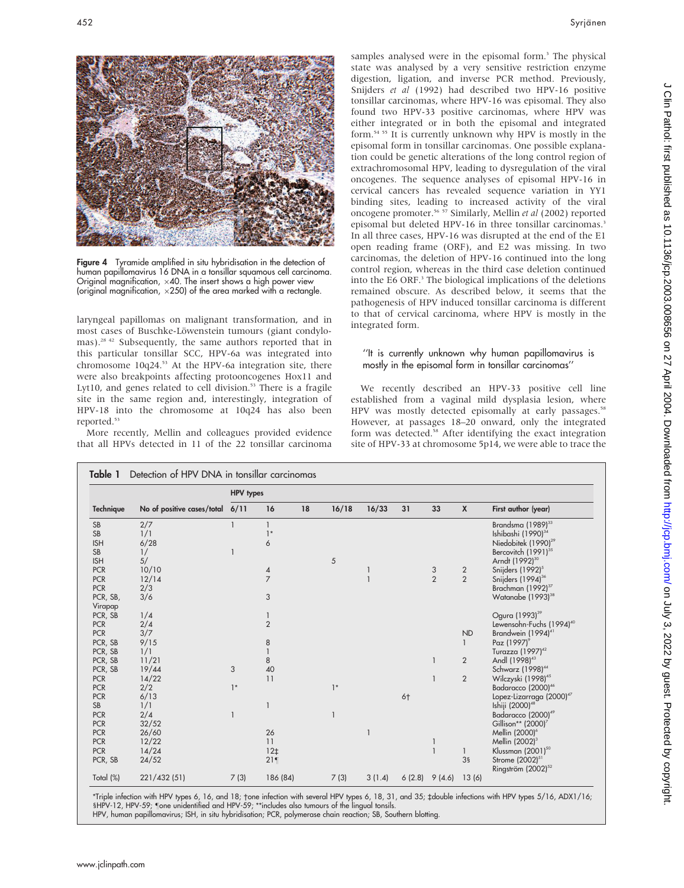

Figure 4 Tyramide amplified in situ hybridisation in the detection of human papillomavirus 16 DNA in a tonsillar squamous cell carcinoma. Original magnification, ×40. The insert shows a high power view (original magnification,  $\times$ 250) of the area marked with a rectangle.

laryngeal papillomas on malignant transformation, and in most cases of Buschke-Löwenstein tumours (giant condylomas).28 42 Subsequently, the same authors reported that in this particular tonsillar SCC, HPV-6a was integrated into chromosome 10q24.53 At the HPV-6a integration site, there were also breakpoints affecting protooncogenes Hox11 and Lyt10, and genes related to cell division. $53$  There is a fragile site in the same region and, interestingly, integration of HPV-18 into the chromosome at 10q24 has also been reported.53

More recently, Mellin and colleagues provided evidence that all HPVs detected in 11 of the 22 tonsillar carcinoma

samples analysed were in the episomal form.<sup>3</sup> The physical state was analysed by a very sensitive restriction enzyme digestion, ligation, and inverse PCR method. Previously, Snijders et al (1992) had described two HPV-16 positive tonsillar carcinomas, where HPV-16 was episomal. They also found two HPV-33 positive carcinomas, where HPV was either integrated or in both the episomal and integrated form.54 55 It is currently unknown why HPV is mostly in the episomal form in tonsillar carcinomas. One possible explanation could be genetic alterations of the long control region of extrachromosomal HPV, leading to dysregulation of the viral oncogenes. The sequence analyses of episomal HPV-16 in cervical cancers has revealed sequence variation in YY1 binding sites, leading to increased activity of the viral oncogene promoter.56 57 Similarly, Mellin et al (2002) reported episomal but deleted HPV-16 in three tonsillar carcinomas.<sup>3</sup> In all three cases, HPV-16 was disrupted at the end of the E1 open reading frame (ORF), and E2 was missing. In two carcinomas, the deletion of HPV-16 continued into the long control region, whereas in the third case deletion continued into the E6 ORF.<sup>3</sup> The biological implications of the deletions remained obscure. As described below, it seems that the pathogenesis of HPV induced tonsillar carcinoma is different to that of cervical carcinoma, where HPV is mostly in the integrated form.

## ''It is currently unknown why human papillomavirus is mostly in the episomal form in tonsillar carcinomas''

We recently described an HPV-33 positive cell line established from a vaginal mild dysplasia lesion, where HPV was mostly detected episomally at early passages.<sup>58</sup> However, at passages 18–20 onward, only the integrated form was detected.<sup>58</sup> After identifying the exact integration site of HPV-33 at chromosome 5p14, we were able to trace the

| Technique    | No of positive cases/total 6/11 | <b>HPV</b> types |                 |              |       |                |                 |                          |                |                                      |
|--------------|---------------------------------|------------------|-----------------|--------------|-------|----------------|-----------------|--------------------------|----------------|--------------------------------------|
|              |                                 |                  | 16              | 18           | 16/18 | 16/33          | 31              | 33                       | $\mathsf{x}$   | First author (year)                  |
| SB           | 2/7                             |                  | $\mathbf{1}$    |              |       |                |                 |                          |                | Brandsma (1989) <sup>33</sup>        |
| SB           | 1/1                             |                  | $1*$            |              |       |                |                 |                          |                | Ishibashi (1990) $34$                |
| <b>ISH</b>   | 6/28                            |                  | 6               |              |       |                |                 |                          |                | Niedobitek (1990) <sup>29</sup>      |
| SB           | 1/                              |                  |                 |              |       |                |                 |                          |                | Bercovitch (1991) <sup>35</sup>      |
| <b>ISH</b>   | 5/                              |                  |                 | 5            |       |                |                 |                          |                | Arndt (1992) <sup>30</sup>           |
| <b>PCR</b>   | 10/10                           |                  | 4               |              |       |                |                 | $\frac{3}{2}$            | 2              | Snijders (1992) <sup>5</sup>         |
| <b>PCR</b>   | 12/14                           |                  | $\overline{7}$  |              |       | $\overline{1}$ |                 |                          | $\overline{2}$ | Snijders (1994) <sup>36</sup>        |
| <b>PCR</b>   | 2/3                             |                  |                 |              |       |                |                 |                          |                | Brachman (1992) <sup>37</sup>        |
| PCR, SB,     | 3/6                             |                  | 3               |              |       |                |                 |                          |                | Watanabe (1993) <sup>38</sup>        |
| Virapap      |                                 |                  |                 |              |       |                |                 |                          |                |                                      |
| PCR, SB      | 1/4                             |                  |                 |              |       |                |                 |                          |                | Ogura (1993) <sup>39</sup>           |
| <b>PCR</b>   | 2/4                             |                  | $\overline{2}$  |              |       |                |                 |                          |                | Lewensohn-Fuchs (1994) <sup>40</sup> |
| <b>PCR</b>   | 3/7                             |                  |                 |              |       |                |                 |                          | <b>ND</b>      | Brandwein (1994) <sup>41</sup>       |
| PCR, SB      | 9/15                            |                  | 8               |              |       |                |                 |                          | 1              | Paz (1997) <sup>9</sup>              |
| PCR, SB      | 1/1                             |                  | $\mathbf{1}$    |              |       |                |                 |                          |                | Turazza (1997) <sup>42</sup>         |
| PCR, SB      | 11/21                           |                  | 8               |              |       |                |                 | $\mathbf{1}$             | 2              | Andl (1998) <sup>43</sup>            |
| PCR, SB      | 19/44                           | 3                | 40              |              |       |                |                 |                          |                | Schwarz (1998) <sup>44</sup>         |
| <b>PCR</b>   | 14/22                           |                  | 11              |              |       |                |                 | $\mathbf{1}$             | $\overline{2}$ | Wilczyski (1998) <sup>45</sup>       |
| <b>PCR</b>   | 2/2                             | $1*$             |                 | $1*$         |       |                |                 |                          |                | Badaracco (2000) <sup>46</sup>       |
| <b>PCR</b>   | 6/13                            |                  |                 |              |       |                | 6†              |                          |                | Lopez-Lizarraga (2000) <sup>47</sup> |
| SB           | 1/1                             |                  | $\mathbf{1}$    |              |       |                |                 |                          |                | Ishiji (2000) <sup>48</sup>          |
| <b>PCR</b>   | 2/4                             | $\mathbf{1}$     |                 | $\mathbf{1}$ |       |                |                 |                          |                | Badaracco (2000) <sup>49</sup>       |
| <b>PCR</b>   | 32/52                           |                  |                 |              |       |                |                 |                          |                | Gillison** (2000) <sup>7</sup>       |
| <b>PCR</b>   | 26/60                           |                  | 26              |              |       |                |                 |                          |                | Mellin (2000) <sup>6</sup>           |
| <b>PCR</b>   | 12/22                           |                  | 11              |              |       |                |                 | $\mathbf{1}$             |                | Mellin $(2002)^3$                    |
| <b>PCR</b>   | 14/24                           |                  | $12+$           |              |       |                |                 | $\overline{\phantom{a}}$ |                | Klussman (2001) <sup>50</sup>        |
| PCR, SB      | 24/52                           |                  | 21 <sup>q</sup> |              |       |                |                 |                          | 38             | Strome (2002) <sup>51</sup>          |
|              |                                 |                  |                 |              |       |                |                 |                          |                | Ringström $(2002)^{52}$              |
| Total $(\%)$ | 221/432 (51)                    | 7(3)             | 186 (84)        |              | 7(3)  | 3(1.4)         | $6(2.8)$ 9(4.6) |                          | 13(6)          |                                      |

\*Triple infection with HPV types 6, 16, and 18; †one infection with several HPV types 6, 18, 31<br>§HPV-12, HPV-59; ¶one unidentified and HPV-59; \*\*includes also tumours of the lingual tonsils. one infection with several HPV types 6, 18, 31, and 35; ‡double infections with HPV types 5/16, ADX1/16; HPV, human papillomavirus; ISH, in situ hybridisation; PCR, polymerase chain reaction; SB, Southern blotting.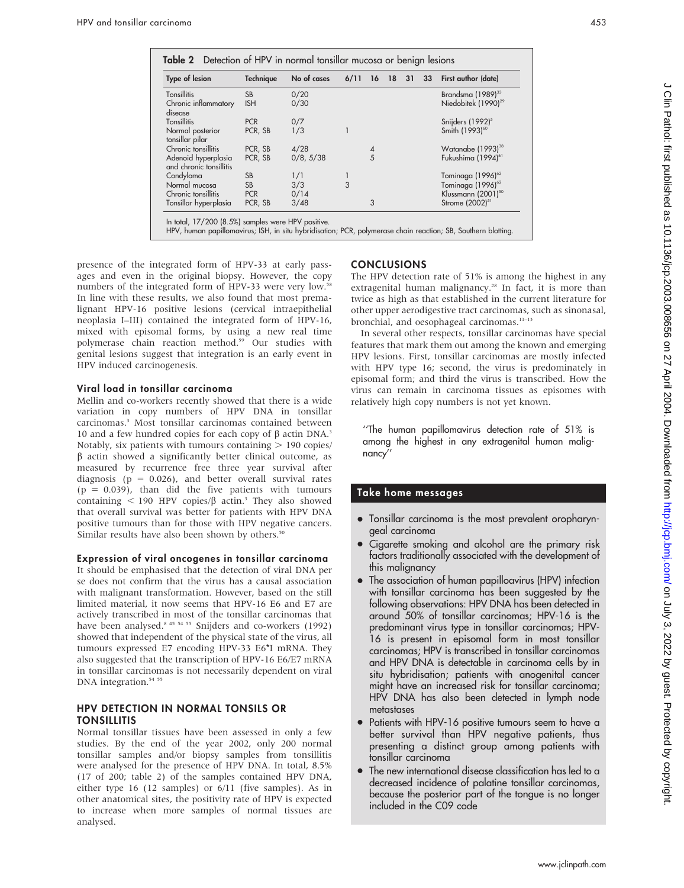| <b>Type of lesion</b>                          | Technique  | No of cases | 6/11 | -16 | 18 | 31 | 33 | First author (date)             |
|------------------------------------------------|------------|-------------|------|-----|----|----|----|---------------------------------|
| <b>Tonsillitis</b>                             | <b>SB</b>  | 0/20        |      |     |    |    |    | Brandsma (1989) <sup>33</sup>   |
| Chronic inflammatory<br>disease                | <b>ISH</b> | 0/30        |      |     |    |    |    | Niedobitek (1990) <sup>29</sup> |
| <b>Tonsillitis</b>                             | <b>PCR</b> | 0/7         |      |     |    |    |    | Snijders (1992) <sup>5</sup>    |
| Normal posterior<br>tonsillar pilar            | PCR, SB    | 1/3         |      |     |    |    |    | Smith (1993) <sup>60</sup>      |
| Chronic tonsillitis                            | PCR, SB    | 4/28        |      |     |    |    |    | Watanabe (1993) <sup>38</sup>   |
| Adenoid hyperplasia<br>and chronic tonsillitis | PCR, SB    | 0/8.5/38    |      | 5   |    |    |    | Fukushima (1994) <sup>61</sup>  |
| Condyloma                                      | <b>SB</b>  | 1/1         |      |     |    |    |    | Tominaga (1996) <sup>62</sup>   |
| Normal mucosa                                  | <b>SB</b>  | 3/3         | 3    |     |    |    |    | Tominaga (1996) <sup>62</sup>   |
| Chronic tonsillitis                            | <b>PCR</b> | 0/14        |      |     |    |    |    | Klussmann (2001) <sup>50</sup>  |
| Tonsillar hyperplasia                          | PCR, SB    | 3/48        |      | 3   |    |    |    | Strome $(2002)^{51}$            |

presence of the integrated form of HPV-33 at early passages and even in the original biopsy. However, the copy numbers of the integrated form of HPV-33 were very low.<sup>58</sup> In line with these results, we also found that most premalignant HPV-16 positive lesions (cervical intraepithelial neoplasia I–III) contained the integrated form of HPV-16, mixed with episomal forms, by using a new real time polymerase chain reaction method.<sup>59</sup> Our studies with genital lesions suggest that integration is an early event in HPV induced carcinogenesis.

## Viral load in tonsillar carcinoma

Mellin and co-workers recently showed that there is a wide variation in copy numbers of HPV DNA in tonsillar carcinomas.3 Most tonsillar carcinomas contained between 10 and a few hundred copies for each copy of  $\beta$  actin DNA.<sup>3</sup> Notably, six patients with tumours containing  $>$  190 copies/  $\beta$  actin showed a significantly better clinical outcome, as measured by recurrence free three year survival after diagnosis ( $p = 0.026$ ), and better overall survival rates  $(p = 0.039)$ , than did the five patients with tumours containing  $\langle$  190 HPV copies/ $\beta$  actin.<sup>3</sup> They also showed that overall survival was better for patients with HPV DNA positive tumours than for those with HPV negative cancers. Similar results have also been shown by others.<sup>50</sup>

## Expression of viral oncogenes in tonsillar carcinoma

It should be emphasised that the detection of viral DNA per se does not confirm that the virus has a causal association with malignant transformation. However, based on the still limited material, it now seems that HPV-16 E6 and E7 are actively transcribed in most of the tonsillar carcinomas that have been analysed.<sup>8 45 54 55</sup> Snijders and co-workers (1992) showed that independent of the physical state of the virus, all tumours expressed E7 encoding HPV-33 E6\*I mRNA. They also suggested that the transcription of HPV-16 E6/E7 mRNA in tonsillar carcinomas is not necessarily dependent on viral DNA integration.<sup>54 5</sup>

# HPV DETECTION IN NORMAL TONSILS OR TONSILLITIS

Normal tonsillar tissues have been assessed in only a few studies. By the end of the year 2002, only 200 normal tonsillar samples and/or biopsy samples from tonsillitis were analysed for the presence of HPV DNA. In total, 8.5% (17 of 200; table 2) of the samples contained HPV DNA, either type 16 (12 samples) or 6/11 (five samples). As in other anatomical sites, the positivity rate of HPV is expected to increase when more samples of normal tissues are analysed.

# CONCLUSIONS

The HPV detection rate of 51% is among the highest in any extragenital human malignancy.<sup>28</sup> In fact, it is more than twice as high as that established in the current literature for other upper aerodigestive tract carcinomas, such as sinonasal, bronchial, and oesophageal carcinomas.<sup>11-13</sup>

In several other respects, tonsillar carcinomas have special features that mark them out among the known and emerging HPV lesions. First, tonsillar carcinomas are mostly infected with HPV type 16; second, the virus is predominately in episomal form; and third the virus is transcribed. How the virus can remain in carcinoma tissues as episomes with relatively high copy numbers is not yet known.

''The human papillomavirus detection rate of 51% is among the highest in any extragenital human malignancy''

# Take home messages

- Tonsillar carcinoma is the most prevalent oropharyngeal carcinoma
- Cigarette smoking and alcohol are the primary risk factors traditionally associated with the development of this malignancy
- The association of human papilloavirus (HPV) infection with tonsillar carcinoma has been suggested by the following observations: HPV DNA has been detected in around 50% of tonsillar carcinomas; HPV-16 is the predominant virus type in tonsillar carcinomas; HPV-16 is present in episomal form in most tonsillar carcinomas; HPV is transcribed in tonsillar carcinomas and HPV DNA is detectable in carcinoma cells by in situ hybridisation; patients with anogenital cancer might have an increased risk for tonsillar carcinoma; HPV DNA has also been detected in lymph node metastases
- Patients with HPV-16 positive tumours seem to have a better survival than HPV negative patients, thus presenting a distinct group among patients with tonsillar carcinoma
- $\bullet$  The new international disease classification has led to a decreased incidence of palatine tonsillar carcinomas, because the posterior part of the tongue is no longer included in the C09 code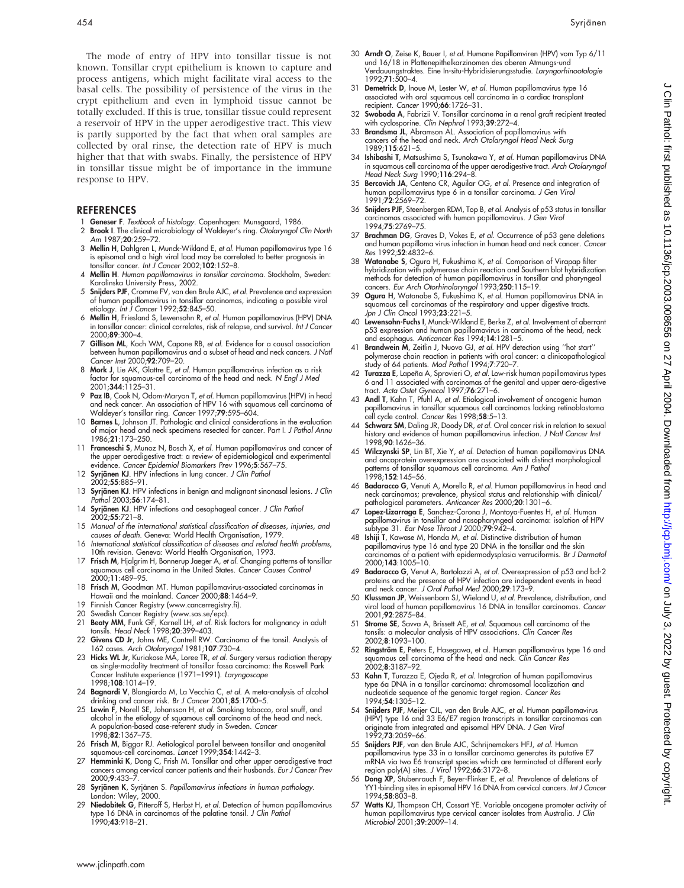The mode of entry of HPV into tonsillar tissue is not known. Tonsillar crypt epithelium is known to capture and process antigens, which might facilitate viral access to the basal cells. The possibility of persistence of the virus in the crypt epithelium and even in lymphoid tissue cannot be totally excluded. If this is true, tonsillar tissue could represent a reservoir of HPV in the upper aerodigestive tract. This view is partly supported by the fact that when oral samples are collected by oral rinse, the detection rate of HPV is much higher that that with swabs. Finally, the persistence of HPV in tonsillar tissue might be of importance in the immune response to HPV.

#### **REFERENCES**

- Geneser F. Textbook of histology. Copenhagen: Munsgaard, 1986.
- 2 **Brook I**. The clinical microbiology of Waldeyer's ring. Otolaryngol Clin North Am 1987:20:259-72
- 3 Mellin H, Dahlgren L, Munck-Wikland E, et al. Human papillomavirus type 16 is episomal and a high viral load may be correlated to better prognosis in tonsillar cancer. Int J Cancer 2002;102:152-8.
- 4 Mellin H. Human papillomavirus in tonsillar carcinoma. Stockholm, Sweden: Karolinska University Press, 2002.
- 5 Snijders PJF, Cromme FV, van den Brule AJC, et al. Prevalence and expression of human papillomavirus in tonsillar carcinomas, indicating a possible viral etiology. Int J Cancer 1992;52:845–50.
- 6 Mellin H, Friesland S, Lewensohn R, et al. Human papillomavirus (HPV) DNA in tonsillar cancer: clinical correlates, risk of relapse, and survival. Int J Cancer 2000;89:300–4.
- 7 Gillison ML, Koch WM, Capone RB, et al. Evidence for a causal association between human papillomavirus and a subset of head and neck cancers. J Natl Cancer Inst 2000;92:709–20.
- 8 Mork J, Lie AK, Glattre E, et al. Human papillomavirus infection as a risk factor for squamous-cell carcinoma of the head and neck. N Engl J Med 2001;344:1125–31.
- 9 Paz IB, Cook N, Odom-Maryon T, et al. Human papillomavirus (HPV) in head and neck cancer. An association of HPV 16 with squamous cell carcinoma of Waldeyer's tonsillar ring. Cancer 1997;79:595–604.
- 10 Barnes L, Johnson JT. Pathologic and clinical considerations in the evaluation of major head and neck specimens resected for cancer. Part I. J Pathol Annu 1986;21:173–250.
- 11 Franceschi S, Munoz N, Bosch X, et al. Human papillomavirus and cancer of the upper aerodigestive tract: a review of epidemiological and experimental evidence. Cancer Epidemiol Biomarkers Prev 1996;5:567–75.
- 12 Syrjänen KJ. HPV infections in lung cancer. J Clin Pathol 2002;55:885–91.
- 13 Syrjänen KJ. HPV infections in benign and malignant sinonasal lesions. J Clin Pathol 2003;56:174-81.
- 14 Syrjänen KJ. HPV infections and oesophageal cancer. J Clin Pathol 2002;55:721–8.
- 15 Manual of the international statistical classification of diseases, injuries, and causes of death. Geneva: World Health Organisation, 1979.
- 16 International statistical classification of diseases and related health problems, 10th revision. Geneva: World Health Organisation, 1993.
- 17 Frisch M, Hjalgrim H, Bonnerup Jaeger A, et al. Changing patterns of tonsillar<br>squamous cell carcinoma in the United States. *Cancer Causes Control*<br>2000;11:489–95.
- 18 Frisch M, Goodman MT. Human papillomavirus-associated carcinomas in Hawaii and the mainland. Cancer 2000;88:1464–9.
- 19 Finnish Cancer Registry (www.cancerregistry.fi).
- 20 Swedish Cancer Registry (www.sos.se/epc).<br>21 **Beaty MM** Funk GF Karnell IH et al. Risk
- Beaty MM, Funk GF, Karnell LH, et al. Risk factors for malignancy in adult tonsils. Head Neck 1998;20:399–403.
- 22 Givens CD Jr, Johns ME, Cantrell RW. Carcinoma of the tonsil. Analysis of 162 cases. Arch Otolaryngol 1981;107:730–4.
- 23 Hicks WL Jr, Kuriakose MA, Loree TR, et al. Surgery versus radiation therapy as single-modality treatment of tonsillar fossa carcinoma: the Roswell Park Cancer Institute experience (1971–1991). Laryngoscope 1998;108:1014–19.
- 24 Bagnardi V, Blangiardo M, La Vecchia C, et al. A meta-analysis of alcohol
- drinking and cancer risk. *Br J Cancer* 2001;**85**:1700–5.<br>25 Lewin F, Norell SE, Johansson H, *et al.* Smoking tobacco, oral snuff, and alcohol in the etiology of squamous cell carcinoma of the head and neck. A population-based case-referent study in Sweden. Cancer 1998;82:1367–75.
- 26 Frisch M, Biggar RJ. Aetiological parallel between tonsillar and anogenital squamous-cell carcinomas. Lancet 1999;354:1442–3.
- 27 Hemminki K, Dong C, Frish M. Tonsillar and other upper aerodigestive tract cancers among cervical cancer patients and their husbands. *Eur J Cancer Pre*v<br>2000;**9**:433–7.
- 28 Syrjänen K, Syrjänen S. Papillomavirus infections in human pathology. London: Wiley, 2000.
- 29 Niedobitek G, Pitteroff S, Herbst H, et al. Detection of human papillomavirus type 16 DNA in carcinomas of the palatine tonsil. *J Clin Pathol*<br>1990;**43**:918–21.
- 30 Arndt O, Zeise K, Bauer I, et al. Humane Papillomviren (HPV) vom Typ 6/11 und 16/18 in Plattenepithelkarzinomen des oberen Atmungs-und Verdauungstraktes. Eine In-situ-Hybridisierungsstudie. Laryngorhinootologie 1992;71:500–4.
- 31 Demetrick D, Inoue M, Lester W, et al. Human papillomavirus type 16 associated with oral squamous cell carcinoma in a cardiac transplant recipient. Cancer 1990:66:1726-31.
- 32 Swoboda A, Fabrizii V. Tonsillar carcinoma in a renal graft recipient treated with cyclosporine. Clin Nephrol 1993;39:272–4.
- 33 Brandsma JL, Abramson AL. Association of papillomavirus with cancers of the head and neck. Arch Otolaryngol Head Neck Surg 1989;115:621–5.
- 34 Ishibashi T, Matsushima S, Tsunokawa Y, et al. Human papillomavirus DNA in squamous cell carcinoma of the upper aerodigestive tract. Arch Otolaryngol Head Neck Surg 1990;116:294–8.
- 35 Bercovich JA, Centeno CR, Aguilar OG, et al. Presence and integration of human papillomavirus type 6 in a tonsillar carcinoma. J Gen Virol 1991;72:2569–72.
- 36 Snijders PJF, Steenbergen RDM, Top B, et al. Analysis of p53 status in tonsillar carcinomas associated with human papillomavirus. J Gen Virol 1994;75:2769–75.
- 37 Brachman DG, Graves D, Vokes E, et al. Occurrence of p53 gene deletions and human papilloma virus infection in human head and neck cancer. Cancer Res 1992;52:4832–6.
- 38 Watanabe S, Ogura H, Fukushima K, et al. Comparison of Virapap filter hybridization with polymerase chain reaction and Southern blot hybridization methods for detection of human papillomavirus in tonsillar and pharyngeal cancers. Eur Arch Otorhinolaryngol 1993;250:115–19.
- 39 Ogura H, Watanabe S, Fukushima K, et al. Human papillomavirus DNA in squamous cell carcinomas of the respiratory and upper digestive tracts. Jpn J Clin Oncol 1993;23:221-5.
- 40 Lewensohn-Fuchs I, Munck-Wikland E, Berke Z, et al. Involvement of aberrant p53 expression and human papillomavirus in carcinoma of the head, neck
- and esophagus. Anticancer Res 1994;14:1281–5. 41 Brandwein M, Zeitlin J, Nuovo GJ, et al. HPV detection using ''hot start'' polymerase chain reaction in patients with oral cancer: a clinicopathological study of 64 patients. Mod Pathol 1994;7:720–7.
- 42 Turazza E, Lapeña A, Sprovieri O, et al. Low-risk human papillomavirus types 6 and 11 associated with carcinomas of the genital and upper aero-digestive tract. Acta Ostet Gynecol 1997;76:271–6.
- 43 Andl T, Kahn T, Pfuhl A, et al. Etiological involvement of oncogenic human papillomavirus in tonsillar squamous cell carcinomas lacking retinoblastoma cell cycle control. Cancer Res 1998;58:5-13.
- Schwarz SM, Daling JR, Doody DR, et al. Oral cancer risk in relation to sexual history and evidence of human papillomavirus infection. J Natl Cancer Inst 1998;90:1626–36.
- 45 Wilczynski SP, Lin BT, Xie Y, et al. Detection of human papillomavirus DNA and oncoprotein overexpression are associated with distinct morphological patterns of tonsillar squamous cell carcinoma. Am J Pathol 1998;152:145–56.
- 46 Badaracco G, Venuti A, Morello R, et al. Human papillomavirus in head and neck carcinomas; prevalence, physical status and relationship with clinical/ pathological parameters. Anticancer Res 2000;20:1301–6.
- 47 Lopez-Lizarraga E, Sanchez-Corona J, Montoya-Fuentes H, et al. Human papillomavirus in tonsillar and nasopharyngeal carcinoma: isolation of HPV subtype 31. Ear Nose Throat J 2000;79:942–4.
- 48 Ishiji T, Kawase M, Honda M, et al. Distinctive distribution of human papillomavirus type 16 and type 20 DNA in the tonsillar and the skin carcinomas of a patient with epidermodysplasia verruciformis. Br J Dermatol 2000;143:1005–10.
- 49 **Badaracco G**, Venut A, Bartolazzi A, *et al.* Overexpression of p53 and bcl-2 proteins and the presence of HPV infection are independent events in head and neck cancer. *J Oral Pathol Med* 2000;29:173–9.
- 50 Klussman JP, Weissenborn SJ, Wieland U, et al. Prevalence, distribution, and viral load of human papillomavirus 16 DNA in tonsillar carcinomas. Cancer 2001;92:2875–84.
- 51 Strome SE, Savva A, Brissett AE, et al. Squamous cell carcinoma of the tonsils: a molecular analysis of HPV associations. Clin Cancer Res 2002;8:1093–100.
- 52 **Ringström E**, Peters E, Hasegawa, et al. Human papillomavirus type 16 and<br>squamous cell carcinoma of the head and neck. *Clin Cancer Res* 2002;8:3187–92.
- 53 Kahn T, Turazza E, Ojeda R, et al. Integration of human papillomavirus type 6a DNA in a tonsillar carcinoma: chromosomal localization and nucleotide sequence of the genomic target region. Cancer Res 1994;54:1305–12.
- 54 Snijders PJF, Meijer CJL, van den Brule AJC, et al. Human papillomavirus (HPV) type 16 and 33 E6/E7 region transcripts in tonsillar carcinomas can riginate from integrated and episomal HPV DNA. J Gen Virol 1992;73:2059–66.
- 55 Snijders PJF, van den Brule AJC, Schrijnemakers HFJ, et al. Human papillomavirus type 33 in a tonsillar carcinoma generates its putative E7 mRNA via two E6 transcript species which are terminated at different early region poly(A) sites. J Virol 1992;66:3172–8.
- 56 Dong XP, Stubenrauch F, Beyer-Flinker E, et al. Prevalence of deletions of YY1-binding sites in episomal HPV 16 DNA from cervical cancers. Int J Cancer 1994;58:803–8.
- 57 Watts KJ, Thompson CH, Cossart YE. Variable oncogene promoter activity of human papillomavirus type cervical cancer isolates from Australia. J Clin Microbiol 2001;39:2009–14.